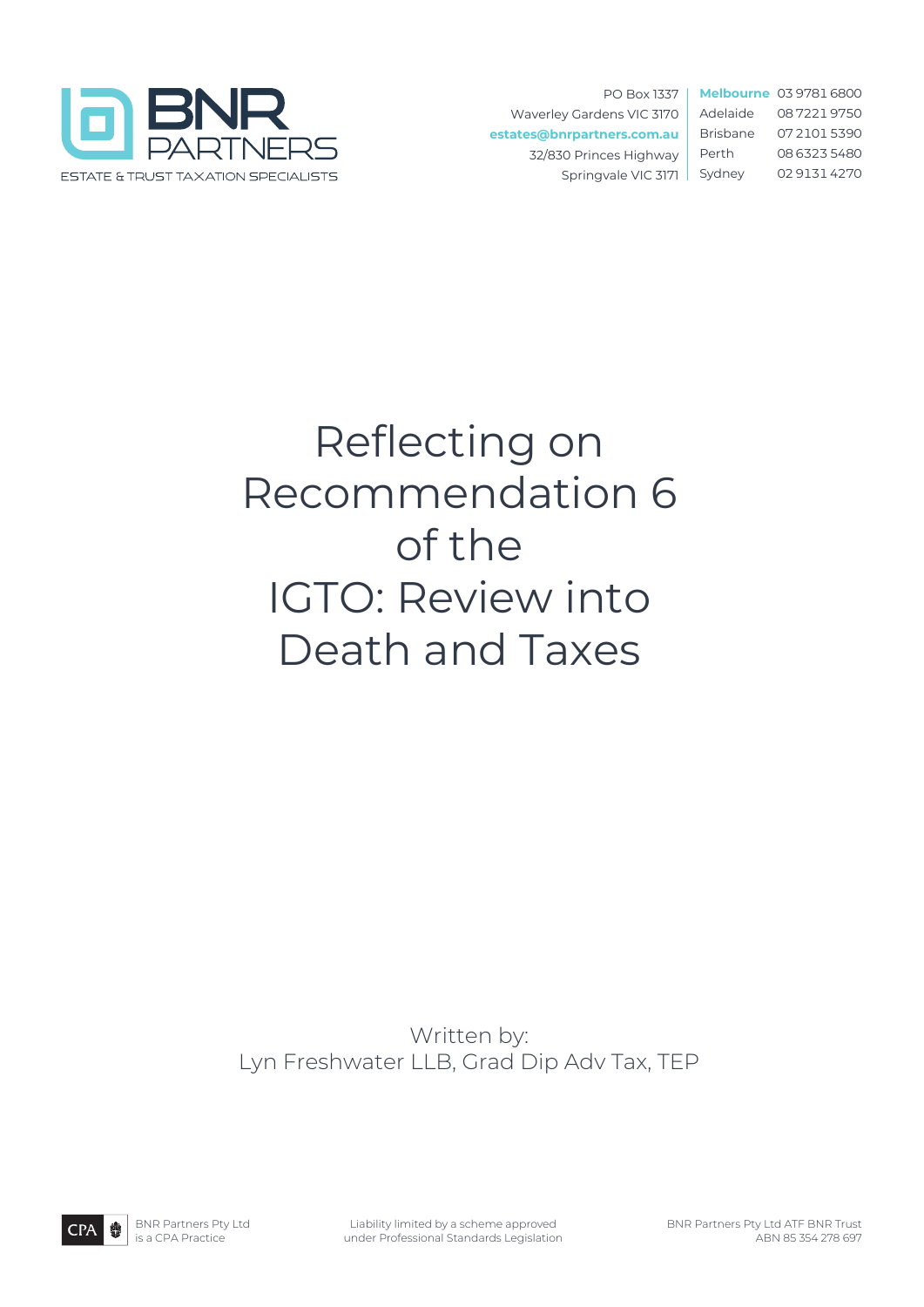

PO Box 1337 Waverley Gardens VIC 3170 **estates@bnrpartners.com.au** 32/830 Princes Highway Springvale VIC 3171

**Melbourne** 03 9781 6800 Adelaide 08 7221 9750 Brisbane 07 2101 5390 Perth 08 6323 5480 Sydney 02 9131 4270

# Reflecting on Recommendation 6 of the IGTO: Review into Death and Taxes

Written by: Lyn Freshwater LLB, Grad Dip Adv Tax, TEP

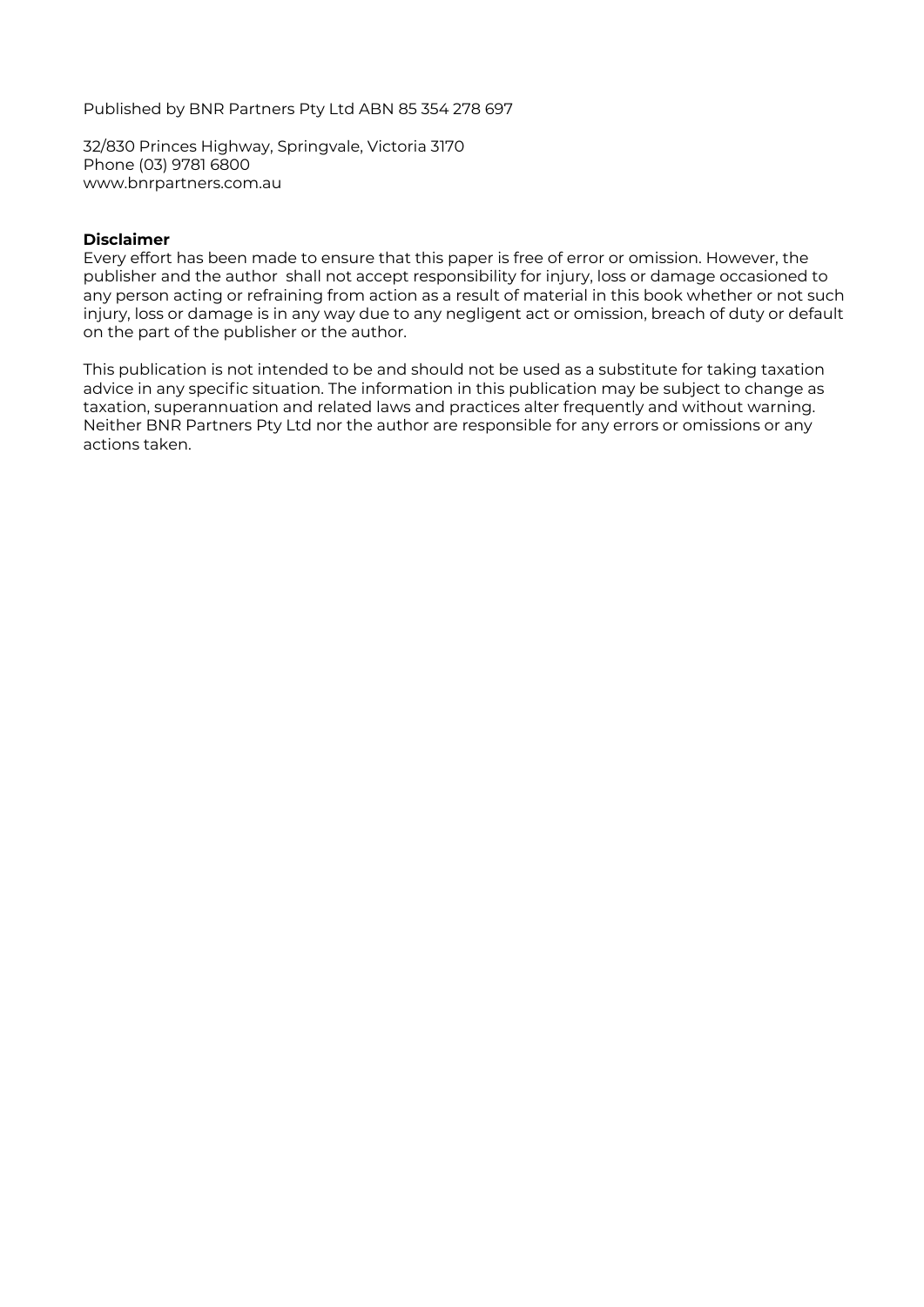Published by BNR Partners Pty Ltd ABN 85 354 278 697

32/830 Princes Highway, Springvale, Victoria 3170 Phone (03) 9781 6800 www.bnrpartners.com.au

#### **Disclaimer**

Every effort has been made to ensure that this paper is free of error or omission. However, the publisher and the author shall not accept responsibility for injury, loss or damage occasioned to any person acting or refraining from action as a result of material in this book whether or not such injury, loss or damage is in any way due to any negligent act or omission, breach of duty or default on the part of the publisher or the author.

This publication is not intended to be and should not be used as a substitute for taking taxation advice in any specific situation. The information in this publication may be subject to change as taxation, superannuation and related laws and practices alter frequently and without warning. Neither BNR Partners Pty Ltd nor the author are responsible for any errors or omissions or any actions taken.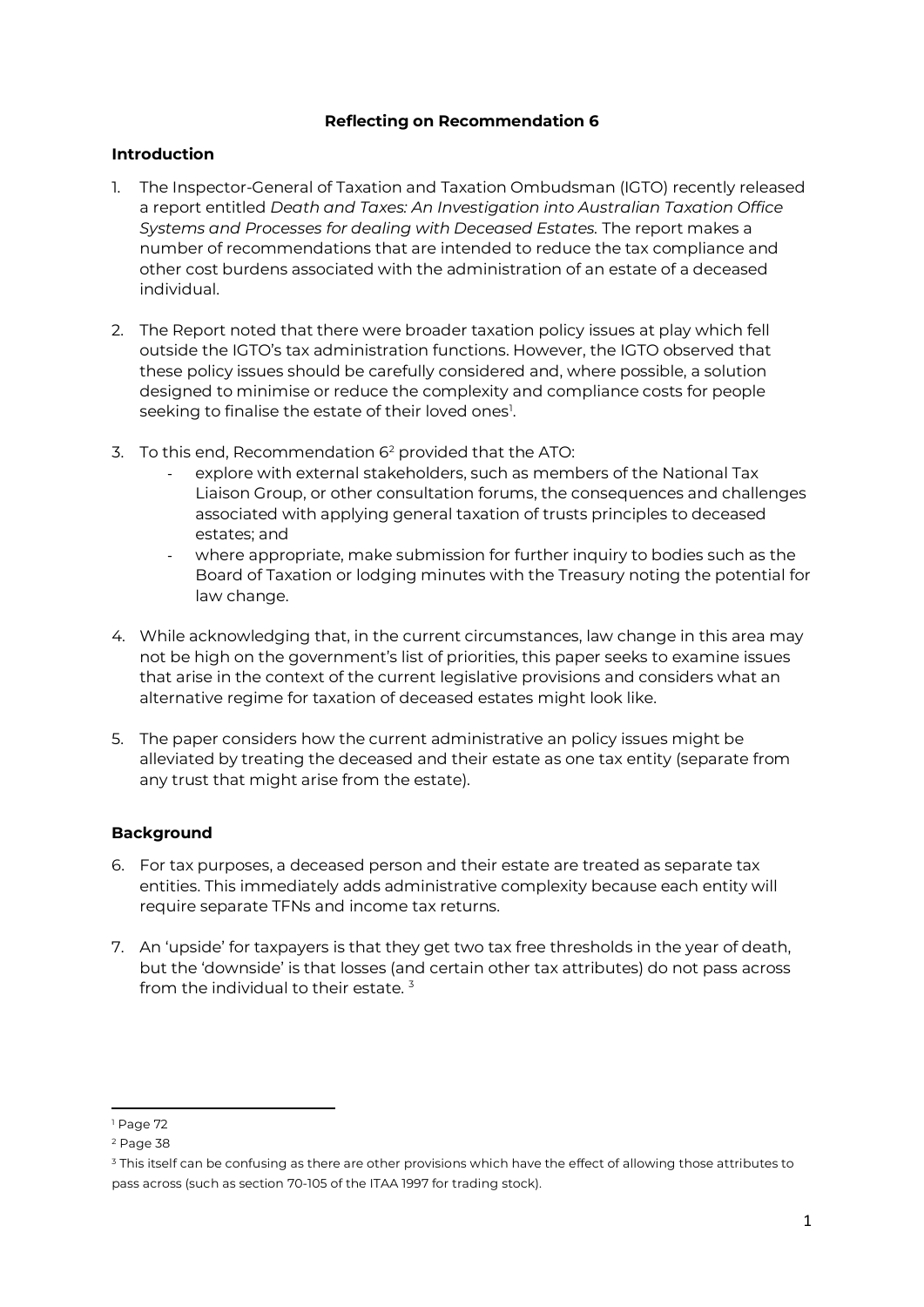## **Reflecting on Recommendation 6**

## **Introduction**

- 1. The Inspector-General of Taxation and Taxation Ombudsman (IGTO) recently released a report entitled *Death and Taxes: An Investigation into Australian Taxation Office Systems and Processes for dealing with Deceased Estates.* The report makes a number of recommendations that are intended to reduce the tax compliance and other cost burdens associated with the administration of an estate of a deceased individual.
- 2. The Report noted that there were broader taxation policy issues at play which fell outside the IGTO's tax administration functions. However, the IGTO observed that these policy issues should be carefully considered and, where possible, a solution designed to minimise or reduce the complexity and compliance costs for people seeking to finalise the estate of their loved ones<sup>[1](#page-2-0)</sup>.
- 3. To this end, Recommendation 6[2](#page-2-1) provided that the ATO:
	- explore with external stakeholders, such as members of the National Tax Liaison Group, or other consultation forums, the consequences and challenges associated with applying general taxation of trusts principles to deceased estates; and
	- where appropriate, make submission for further inquiry to bodies such as the Board of Taxation or lodging minutes with the Treasury noting the potential for law change.
- 4. While acknowledging that, in the current circumstances, law change in this area may not be high on the government's list of priorities, this paper seeks to examine issues that arise in the context of the current legislative provisions and considers what an alternative regime for taxation of deceased estates might look like.
- 5. The paper considers how the current administrative an policy issues might be alleviated by treating the deceased and their estate as one tax entity (separate from any trust that might arise from the estate).

# **Background**

- 6. For tax purposes, a deceased person and their estate are treated as separate tax entities. This immediately adds administrative complexity because each entity will require separate TFNs and income tax returns.
- 7. An 'upside' for taxpayers is that they get two tax free thresholds in the year of death, but the 'downside' is that losses (and certain other tax attributes) do not pass across from the individual to their estate.  $3$

<span id="page-2-0"></span><sup>1</sup> Page 72

<span id="page-2-1"></span><sup>2</sup> Page 38

<span id="page-2-2"></span><sup>&</sup>lt;sup>3</sup> This itself can be confusing as there are other provisions which have the effect of allowing those attributes to pass across (such as section 70-105 of the ITAA 1997 for trading stock).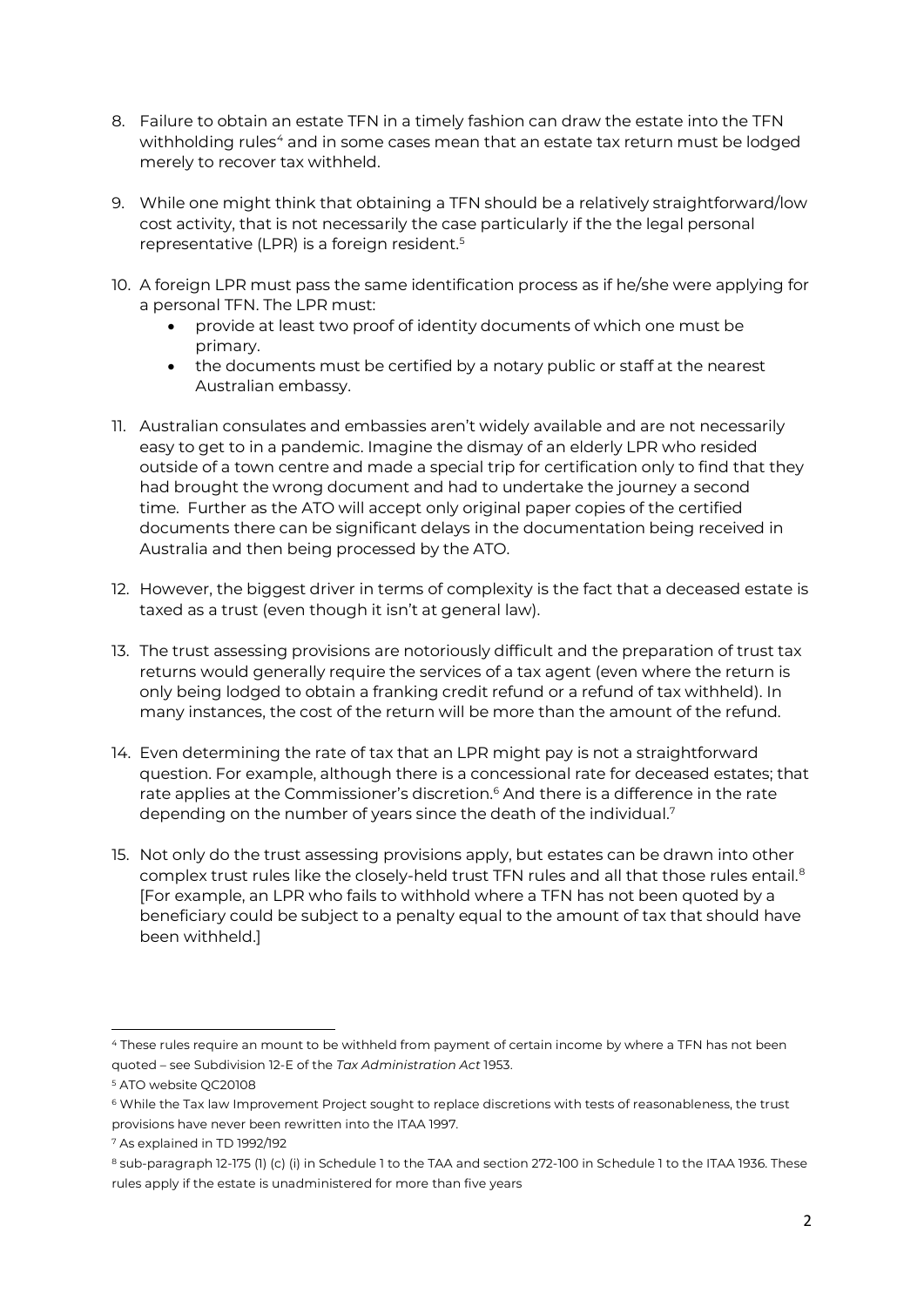- 8. Failure to obtain an estate TFN in a timely fashion can draw the estate into the TFN withholding rules<sup>[4](#page-3-0)</sup> and in some cases mean that an estate tax return must be lodged merely to recover tax withheld.
- 9. While one might think that obtaining a TFN should be a relatively straightforward/low cost activity, that is not necessarily the case particularly if the the legal personal representative (LPR) is a foreign resident. [5](#page-3-1)
- 10. A foreign LPR must pass the same identification process as if he/she were applying for a personal TFN. The LPR must:
	- provide at least two proof of identity documents of which one must be primary.
	- the documents must be certified by a notary public or staff at the nearest Australian embassy.
- 11. Australian consulates and embassies aren't widely available and are not necessarily easy to get to in a pandemic. Imagine the dismay of an elderly LPR who resided outside of a town centre and made a special trip for certification only to find that they had brought the wrong document and had to undertake the journey a second time. Further as the ATO will accept only original paper copies of the certified documents there can be significant delays in the documentation being received in Australia and then being processed by the ATO.
- 12. However, the biggest driver in terms of complexity is the fact that a deceased estate is taxed as a trust (even though it isn't at general law).
- 13. The trust assessing provisions are notoriously difficult and the preparation of trust tax returns would generally require the services of a tax agent (even where the return is only being lodged to obtain a franking credit refund or a refund of tax withheld). In many instances, the cost of the return will be more than the amount of the refund.
- 14. Even determining the rate of tax that an LPR might pay is not a straightforward question. For example, although there is a concessional rate for deceased estates; that rate applies at the Commissioner's discretion.<sup>[6](#page-3-2)</sup> And there is a difference in the rate depending on the number of years since the death of the individual.<sup>[7](#page-3-3)</sup>
- 15. Not only do the trust assessing provisions apply, but estates can be drawn into other complex trust rules like the closely-held trust TFN rules and all that those rules entail. [8](#page-3-4) [For example, an LPR who fails to withhold where a TFN has not been quoted by a beneficiary could be subject to a penalty equal to the amount of tax that should have been withheld.]

<span id="page-3-0"></span><sup>4</sup> These rules require an mount to be withheld from payment of certain income by where a TFN has not been quoted – see Subdivision 12-E of the *Tax Administration Act* 1953.

<span id="page-3-1"></span><sup>5</sup> ATO website QC20108

<span id="page-3-2"></span><sup>6</sup> While the Tax law Improvement Project sought to replace discretions with tests of reasonableness, the trust provisions have never been rewritten into the ITAA 1997.

<span id="page-3-3"></span><sup>7</sup> As explained in TD 1992/192

<span id="page-3-4"></span><sup>8</sup> sub-paragraph 12-175 (1) (c) (i) in Schedule 1 to the TAA and section 272-100 in Schedule 1 to the ITAA 1936. These rules apply if the estate is unadministered for more than five years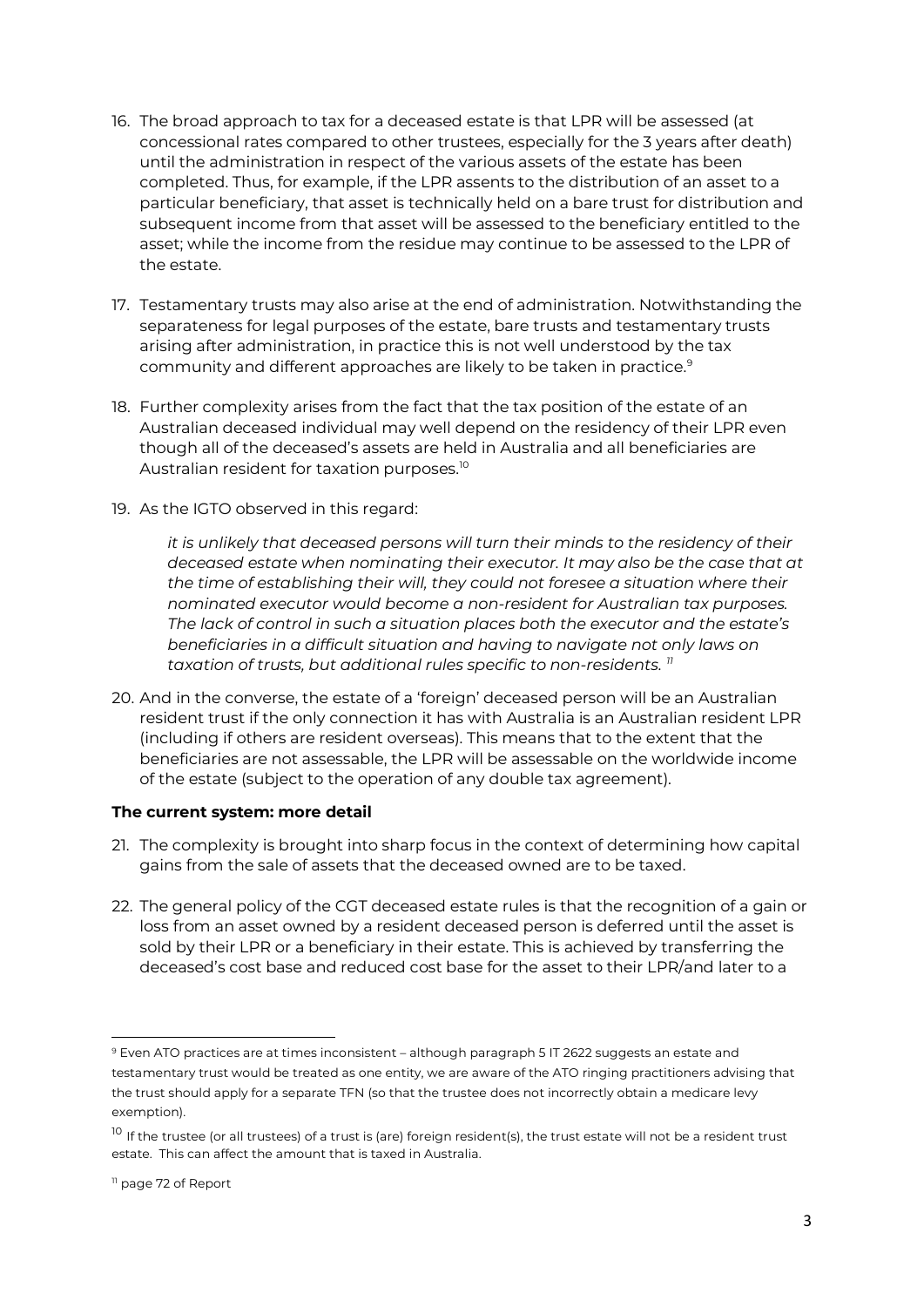- 16. The broad approach to tax for a deceased estate is that LPR will be assessed (at concessional rates compared to other trustees, especially for the 3 years after death) until the administration in respect of the various assets of the estate has been completed. Thus, for example, if the LPR assents to the distribution of an asset to a particular beneficiary, that asset is technically held on a bare trust for distribution and subsequent income from that asset will be assessed to the beneficiary entitled to the asset; while the income from the residue may continue to be assessed to the LPR of the estate.
- 17. Testamentary trusts may also arise at the end of administration. Notwithstanding the separateness for legal purposes of the estate, bare trusts and testamentary trusts arising after administration, in practice this is not well understood by the tax community and different approaches are likely to be taken in practice.<sup>[9](#page-4-0)</sup>
- 18. Further complexity arises from the fact that the tax position of the estate of an Australian deceased individual may well depend on the residency of their LPR even though all of the deceased's assets are held in Australia and all beneficiaries are Australian resident for taxation purposes.<sup>[10](#page-4-1)</sup>
- 19. As the IGTO observed in this regard:

*it is unlikely that deceased persons will turn their minds to the residency of their deceased estate when nominating their executor. It may also be the case that at the time of establishing their will, they could not foresee a situation where their nominated executor would become a non-resident for Australian tax purposes. The lack of control in such a situation places both the executor and the estate's beneficiaries in a difficult situation and having to navigate not only laws on taxation of trusts, but additional rules specific to non-residents. [11](#page-4-2)*

20. And in the converse, the estate of a 'foreign' deceased person will be an Australian resident trust if the only connection it has with Australia is an Australian resident LPR (including if others are resident overseas). This means that to the extent that the beneficiaries are not assessable, the LPR will be assessable on the worldwide income of the estate (subject to the operation of any double tax agreement).

## **The current system: more detail**

- 21. The complexity is brought into sharp focus in the context of determining how capital gains from the sale of assets that the deceased owned are to be taxed.
- 22. The general policy of the CGT deceased estate rules is that the recognition of a gain or loss from an asset owned by a resident deceased person is deferred until the asset is sold by their LPR or a beneficiary in their estate. This is achieved by transferring the deceased's cost base and reduced cost base for the asset to their LPR/and later to a

<span id="page-4-0"></span><sup>9</sup> Even ATO practices are at times inconsistent – although paragraph 5 IT 2622 suggests an estate and testamentary trust would be treated as one entity, we are aware of the ATO ringing practitioners advising that the trust should apply for a separate TFN (so that the trustee does not incorrectly obtain a medicare levy exemption).

<span id="page-4-1"></span> $10$  If the trustee (or all trustees) of a trust is (are) foreign resident(s), the trust estate will not be a resident trust estate. This can affect the amount that is taxed in Australia.

<span id="page-4-2"></span><sup>11</sup> page 72 of Report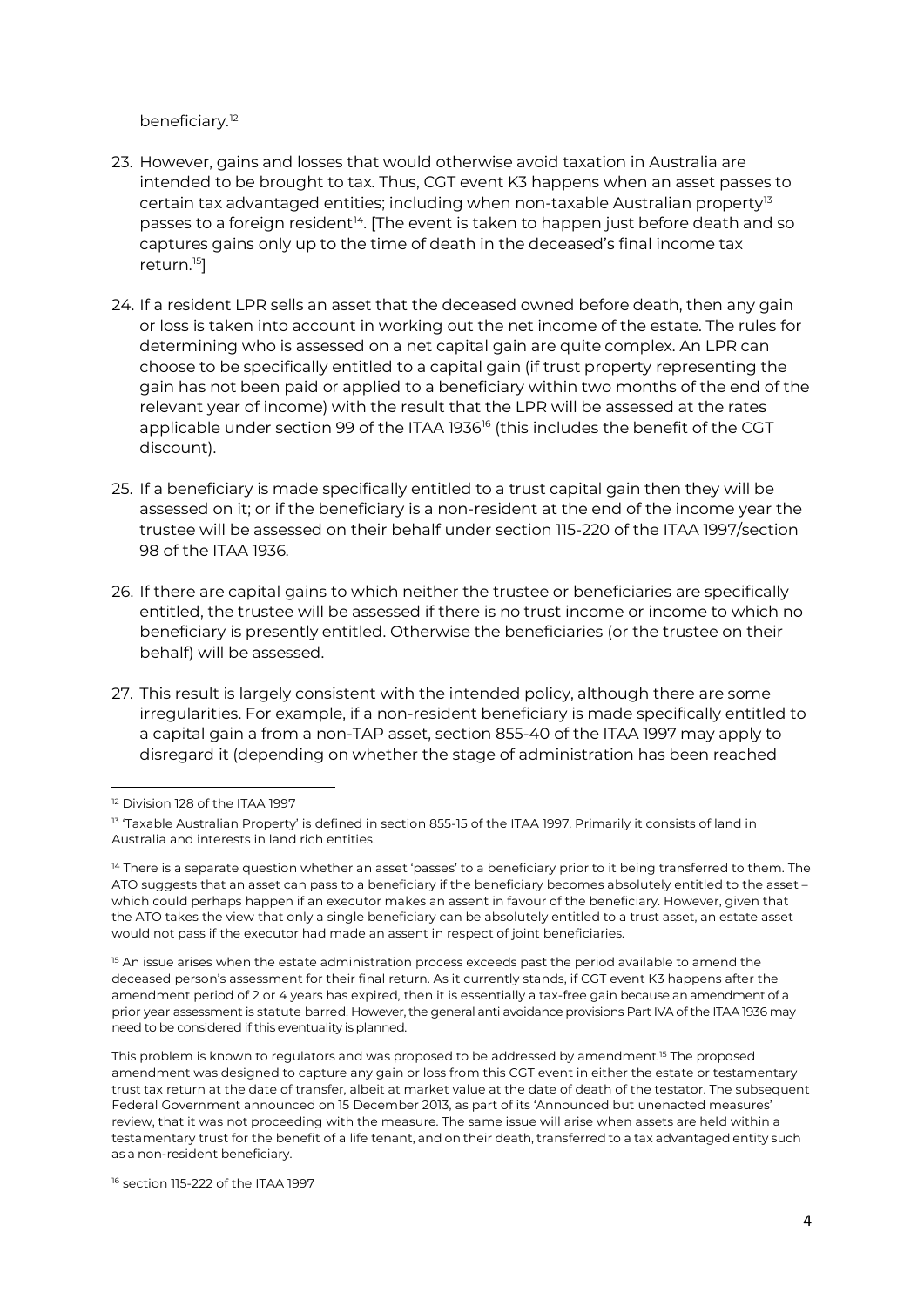beneficiary.<sup>[12](#page-5-0)</sup>

- 23. However, gains and losses that would otherwise avoid taxation in Australia are intended to be brought to tax. Thus, CGT event K3 happens when an asset passes to certain tax advantaged entities; including when non-taxable Australian property $13$ passes to a foreign resident<sup>[14](#page-5-2)</sup>. [The event is taken to happen just before death and so captures gains only up to the time of death in the deceased's final income tax return.[15\]](#page-5-3)
- 24. If a resident LPR sells an asset that the deceased owned before death, then any gain or loss is taken into account in working out the net income of the estate. The rules for determining who is assessed on a net capital gain are quite complex. An LPR can choose to be specifically entitled to a capital gain (if trust property representing the gain has not been paid or applied to a beneficiary within two months of the end of the relevant year of income) with the result that the LPR will be assessed at the rates applicable under section 99 of the ITAA 1936<sup>[16](#page-5-4)</sup> (this includes the benefit of the CGT discount).
- 25. If a beneficiary is made specifically entitled to a trust capital gain then they will be assessed on it; or if the beneficiary is a non-resident at the end of the income year the trustee will be assessed on their behalf under section 115-220 of the ITAA 1997/section 98 of the ITAA 1936.
- 26. If there are capital gains to which neither the trustee or beneficiaries are specifically entitled, the trustee will be assessed if there is no trust income or income to which no beneficiary is presently entitled. Otherwise the beneficiaries (or the trustee on their behalf) will be assessed.
- 27. This result is largely consistent with the intended policy, although there are some irregularities. For example, if a non-resident beneficiary is made specifically entitled to a capital gain a from a non-TAP asset, section 855-40 of the ITAA 1997 may apply to disregard it (depending on whether the stage of administration has been reached

<span id="page-5-3"></span><sup>15</sup> An issue arises when the estate administration process exceeds past the period available to amend the deceased person's assessment for their final return. As it currently stands, if CGT event K3 happens after the amendment period of 2 or 4 years has expired, then it is essentially a tax-free gain because an amendment of a prior year assessment is statute barred. However, the general anti avoidance provisions Part IVA of the ITAA 1936 may need to be considered if this eventuality is planned.

This problem is known to regulators and was proposed to be addressed by amendment.15 The proposed amendment was designed to capture any gain or loss from this CGT event in either the estate or testamentary trust tax return at the date of transfer, albeit at market value at the date of death of the testator. The subsequent Federal Government announced on 15 December 2013, as part of its 'Announced but unenacted measures' review, that it was not proceeding with the measure. The same issue will arise when assets are held within a testamentary trust for the benefit of a life tenant, and on their death, transferred to a tax advantaged entity such as a non-resident beneficiary.

<span id="page-5-4"></span><sup>16</sup> section 115-222 of the ITAA 1997

<span id="page-5-0"></span><sup>12</sup> Division 128 of the ITAA 1997

<span id="page-5-1"></span><sup>&</sup>lt;sup>13</sup> 'Taxable Australian Property' is defined in section 855-15 of the ITAA 1997. Primarily it consists of land in Australia and interests in land rich entities.

<span id="page-5-2"></span><sup>&</sup>lt;sup>14</sup> There is a separate question whether an asset 'passes' to a beneficiary prior to it being transferred to them. The ATO suggests that an asset can pass to a beneficiary if the beneficiary becomes absolutely entitled to the asset – which could perhaps happen if an executor makes an assent in favour of the beneficiary. However, given that the ATO takes the view that only a single beneficiary can be absolutely entitled to a trust asset, an estate asset would not pass if the executor had made an assent in respect of joint beneficiaries.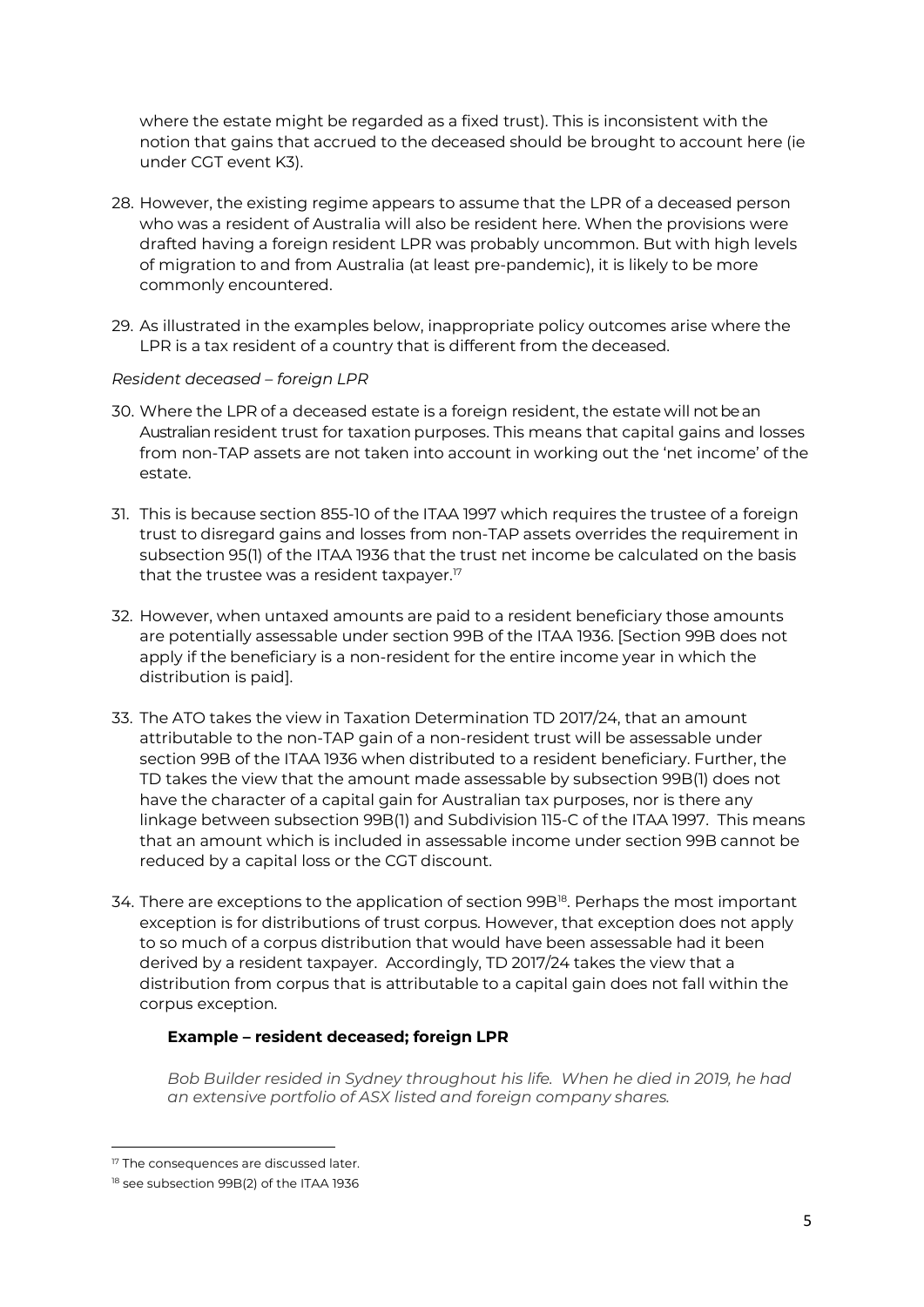where the estate might be regarded as a fixed trust). This is inconsistent with the notion that gains that accrued to the deceased should be brought to account here (ie under CGT event K3).

- 28. However, the existing regime appears to assume that the LPR of a deceased person who was a resident of Australia will also be resident here. When the provisions were drafted having a foreign resident LPR was probably uncommon. But with high levels of migration to and from Australia (at least pre-pandemic), it is likely to be more commonly encountered.
- 29. As illustrated in the examples below, inappropriate policy outcomes arise where the LPR is a tax resident of a country that is different from the deceased.

## *Resident deceased – foreign LPR*

- 30. Where the LPR of a deceased estate is a foreign resident, the estate will not be an Australian resident trust for taxation purposes. This means that capital gains and losses from non-TAP assets are not taken into account in working out the 'net income' of the estate.
- 31. This is because section 855-10 of the ITAA 1997 which requires the trustee of a foreign trust to disregard gains and losses from non-TAP assets overrides the requirement in subsection 95(1) of the ITAA 1936 that the trust net income be calculated on the basis that the trustee was a resident taxpayer.<sup>[17](#page-6-0)</sup>
- 32. However, when untaxed amounts are paid to a resident beneficiary those amounts are potentially assessable under section 99B of the ITAA 1936. [Section 99B does not apply if the beneficiary is a non-resident for the entire income year in which the distribution is paid].
- 33. The ATO takes the view in Taxation Determination TD 2017/24, that an amount attributable to the non-TAP gain of a non-resident trust will be assessable under section 99B of the ITAA 1936 when distributed to a resident beneficiary. Further, the TD takes the view that the amount made assessable by subsection 99B(1) does not have the character of a capital gain for Australian tax purposes, nor is there any linkage between subsection 99B(1) and Subdivision 115-C of the ITAA 1997. This means that an amount which is included in assessable income under section 99B cannot be reduced by a capital loss or the CGT discount.
- 34. There are exceptions to the application of section 99B<sup>18</sup>. Perhaps the most important exception is for distributions of trust corpus. However, that exception does not apply to so much of a corpus distribution that would have been assessable had it been derived by a resident taxpayer. Accordingly, TD 2017/24 takes the view that a distribution from corpus that is attributable to a capital gain does not fall within the corpus exception.

## **Example – resident deceased; foreign LPR**

*Bob Builder resided in Sydney throughout his life. When he died in 2019, he had an extensive portfolio of ASX listed and foreign company shares.*

<span id="page-6-0"></span><sup>&</sup>lt;sup>17</sup> The consequences are discussed later.

<span id="page-6-1"></span><sup>18</sup> see subsection 99B(2) of the ITAA 1936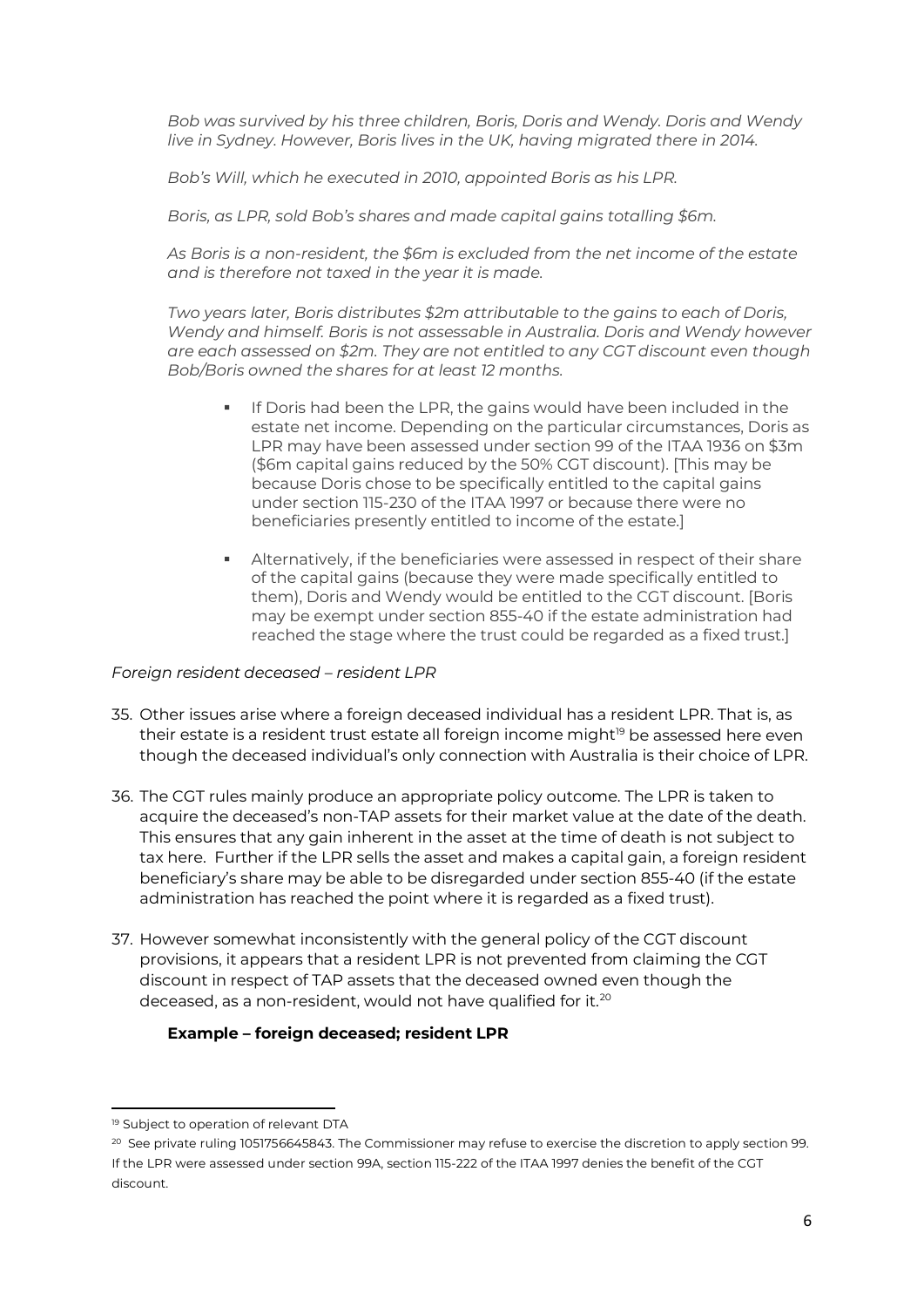*Bob was survived by his three children, Boris, Doris and Wendy. Doris and Wendy live in Sydney. However, Boris lives in the UK, having migrated there in 2014.*

*Bob's Will, which he executed in 2010, appointed Boris as his LPR.* 

*Boris, as LPR, sold Bob's shares and made capital gains totalling \$6m.*

*As Boris is a non-resident, the \$6m is excluded from the net income of the estate and is therefore not taxed in the year it is made.*

*Two years later, Boris distributes \$2m attributable to the gains to each of Doris, Wendy and himself. Boris is not assessable in Australia. Doris and Wendy however are each assessed on \$2m. They are not entitled to any CGT discount even though Bob/Boris owned the shares for at least 12 months.* 

- If Doris had been the LPR, the gains would have been included in the estate net income. Depending on the particular circumstances, Doris as LPR may have been assessed under section 99 of the ITAA 1936 on \$3m (\$6m capital gains reduced by the 50% CGT discount). [This may be because Doris chose to be specifically entitled to the capital gains under section 115-230 of the ITAA 1997 or because there were no beneficiaries presently entitled to income of the estate.]
- Alternatively, if the beneficiaries were assessed in respect of their share of the capital gains (because they were made specifically entitled to them), Doris and Wendy would be entitled to the CGT discount. [Boris may be exempt under section 855-40 if the estate administration had reached the stage where the trust could be regarded as a fixed trust.]

#### *Foreign resident deceased – resident LPR*

- 35. Other issues arise where a foreign deceased individual has a resident LPR. That is, as their estate is a resident trust estate all foreign income might<sup>[19](#page-7-0)</sup> be assessed here even though the deceased individual's only connection with Australia is their choice of LPR.
- 36. The CGT rules mainly produce an appropriate policy outcome. The LPR is taken to acquire the deceased's non-TAP assets for their market value at the date of the death. This ensures that any gain inherent in the asset at the time of death is not subject to tax here. Further if the LPR sells the asset and makes a capital gain, a foreign resident beneficiary's share may be able to be disregarded under section 855-40 (if the estate administration has reached the point where it is regarded as a fixed trust).
- 37. However somewhat inconsistently with the general policy of the CGT discount provisions, it appears that a resident LPR is not prevented from claiming the CGT discount in respect of TAP assets that the deceased owned even though the deceased, as a non-resident, would not have qualified for it.<sup>[20](#page-7-1)</sup>

## **Example – foreign deceased; resident LPR**

<span id="page-7-0"></span><sup>19</sup> Subject to operation of relevant DTA

<span id="page-7-1"></span><sup>20</sup> See private ruling 1051756645843. The Commissioner may refuse to exercise the discretion to apply section 99. If the LPR were assessed under section 99A, section 115-222 of the ITAA 1997 denies the benefit of the CGT discount.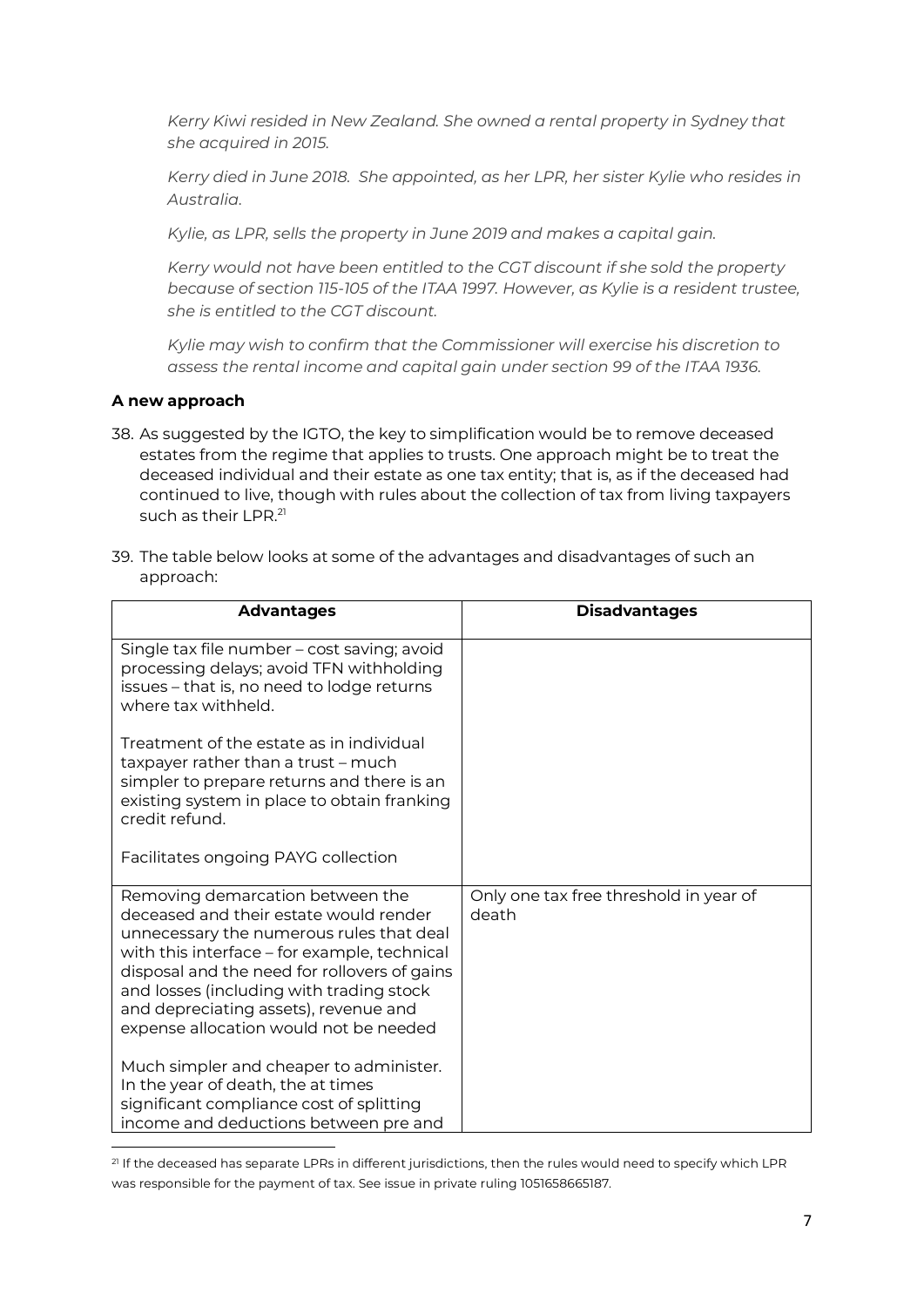*Kerry Kiwi resided in New Zealand. She owned a rental property in Sydney that she acquired in 2015.* 

*Kerry died in June 2018. She appointed, as her LPR, her sister Kylie who resides in Australia.* 

*Kylie, as LPR, sells the property in June 2019 and makes a capital gain.*

*Kerry would not have been entitled to the CGT discount if she sold the property because of section 115-105 of the ITAA 1997. However, as Kylie is a resident trustee, she is entitled to the CGT discount.*

*Kylie may wish to confirm that the Commissioner will exercise his discretion to assess the rental income and capital gain under section 99 of the ITAA 1936.*

## **A new approach**

- 38. As suggested by the IGTO, the key to simplification would be to remove deceased estates from the regime that applies to trusts. One approach might be to treat the deceased individual and their estate as one tax entity; that is, as if the deceased had continued to live, though with rules about the collection of tax from living taxpayers such as their LPR.<sup>[21](#page-8-0)</sup>
- 39. The table below looks at some of the advantages and disadvantages of such an approach:

| <b>Advantages</b>                                                                                                                                                                                                                                                                                                                                     | <b>Disadvantages</b>                            |
|-------------------------------------------------------------------------------------------------------------------------------------------------------------------------------------------------------------------------------------------------------------------------------------------------------------------------------------------------------|-------------------------------------------------|
| Single tax file number - cost saving; avoid<br>processing delays; avoid TFN withholding<br>issues - that is, no need to lodge returns<br>where tax withheld.                                                                                                                                                                                          |                                                 |
| Treatment of the estate as in individual<br>taxpayer rather than a trust - much<br>simpler to prepare returns and there is an<br>existing system in place to obtain franking<br>credit refund.<br>Facilitates ongoing PAYG collection                                                                                                                 |                                                 |
|                                                                                                                                                                                                                                                                                                                                                       |                                                 |
| Removing demarcation between the<br>deceased and their estate would render<br>unnecessary the numerous rules that deal<br>with this interface - for example, technical<br>disposal and the need for rollovers of gains<br>and losses (including with trading stock<br>and depreciating assets), revenue and<br>expense allocation would not be needed | Only one tax free threshold in year of<br>death |
| Much simpler and cheaper to administer.<br>In the year of death, the at times<br>significant compliance cost of splitting<br>income and deductions between pre and                                                                                                                                                                                    |                                                 |

<span id="page-8-0"></span><sup>&</sup>lt;sup>21</sup> If the deceased has separate LPRs in different jurisdictions, then the rules would need to specify which LPR was responsible for the payment of tax. See issue in private ruling 1051658665187.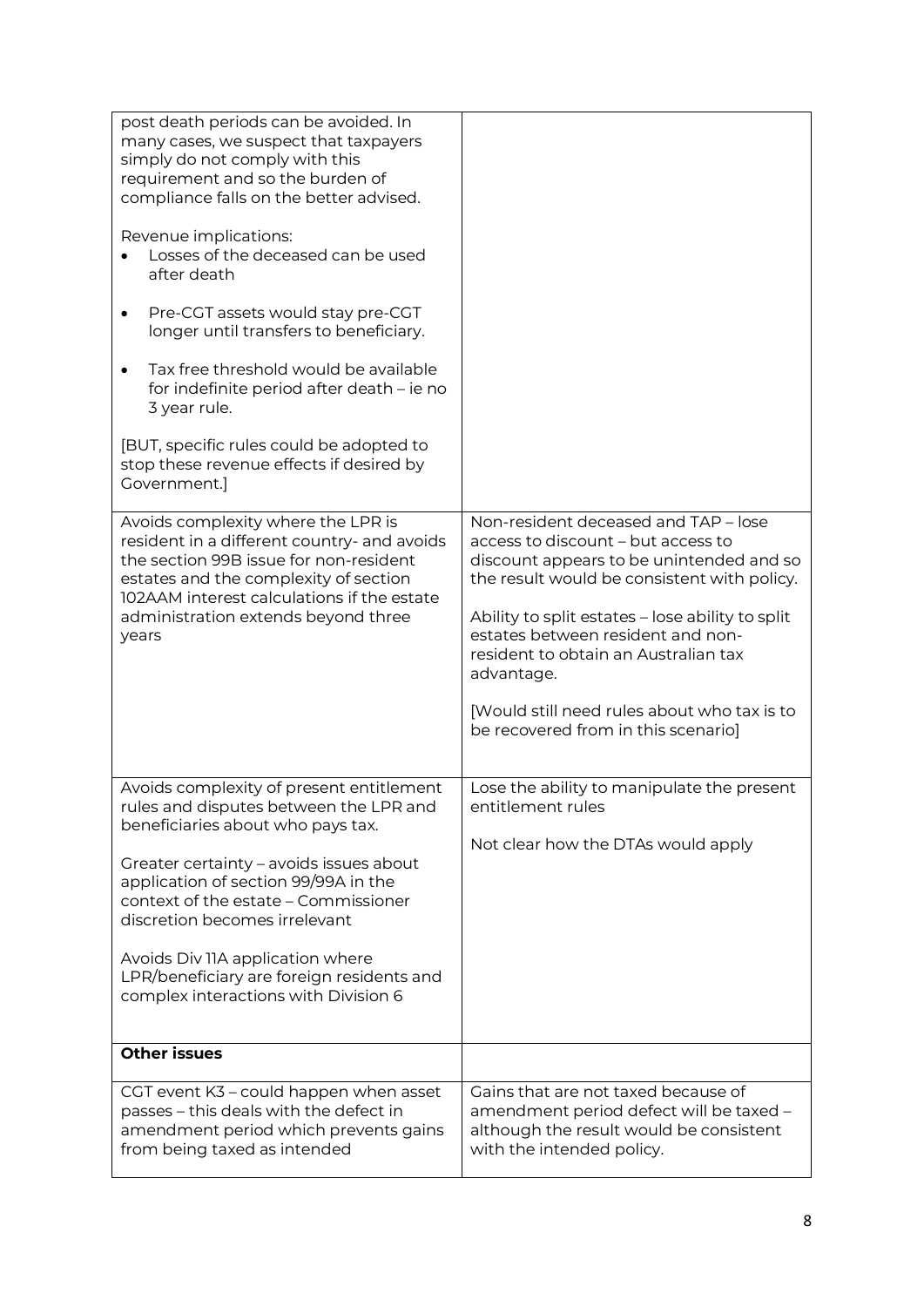| post death periods can be avoided. In<br>many cases, we suspect that taxpayers<br>simply do not comply with this<br>requirement and so the burden of<br>compliance falls on the better advised.<br>Revenue implications:<br>Losses of the deceased can be used<br>after death<br>Pre-CGT assets would stay pre-CGT<br>٠<br>longer until transfers to beneficiary.<br>Tax free threshold would be available<br>$\bullet$<br>for indefinite period after death - ie no<br>3 year rule.<br>[BUT, specific rules could be adopted to<br>stop these revenue effects if desired by<br>Government.] |                                                                                                                                                                                                                                                                                                                                                                                                            |
|----------------------------------------------------------------------------------------------------------------------------------------------------------------------------------------------------------------------------------------------------------------------------------------------------------------------------------------------------------------------------------------------------------------------------------------------------------------------------------------------------------------------------------------------------------------------------------------------|------------------------------------------------------------------------------------------------------------------------------------------------------------------------------------------------------------------------------------------------------------------------------------------------------------------------------------------------------------------------------------------------------------|
| Avoids complexity where the LPR is<br>resident in a different country- and avoids<br>the section 99B issue for non-resident<br>estates and the complexity of section<br>102AAM interest calculations if the estate<br>administration extends beyond three<br>years                                                                                                                                                                                                                                                                                                                           | Non-resident deceased and TAP - lose<br>access to discount - but access to<br>discount appears to be unintended and so<br>the result would be consistent with policy.<br>Ability to split estates - lose ability to split<br>estates between resident and non-<br>resident to obtain an Australian tax<br>advantage.<br>[Would still need rules about who tax is to<br>be recovered from in this scenario] |
| Avoids complexity of present entitlement<br>rules and disputes between the LPR and<br>beneficiaries about who pays tax.<br>Greater certainty - avoids issues about<br>application of section 99/99A in the<br>context of the estate - Commissioner<br>discretion becomes irrelevant<br>Avoids Div IIA application where<br>LPR/beneficiary are foreign residents and<br>complex interactions with Division 6                                                                                                                                                                                 | Lose the ability to manipulate the present<br>entitlement rules<br>Not clear how the DTAs would apply                                                                                                                                                                                                                                                                                                      |
| <b>Other issues</b>                                                                                                                                                                                                                                                                                                                                                                                                                                                                                                                                                                          |                                                                                                                                                                                                                                                                                                                                                                                                            |
| CGT event K3 - could happen when asset<br>passes - this deals with the defect in<br>amendment period which prevents gains<br>from being taxed as intended                                                                                                                                                                                                                                                                                                                                                                                                                                    | Gains that are not taxed because of<br>amendment period defect will be taxed -<br>although the result would be consistent<br>with the intended policy.                                                                                                                                                                                                                                                     |